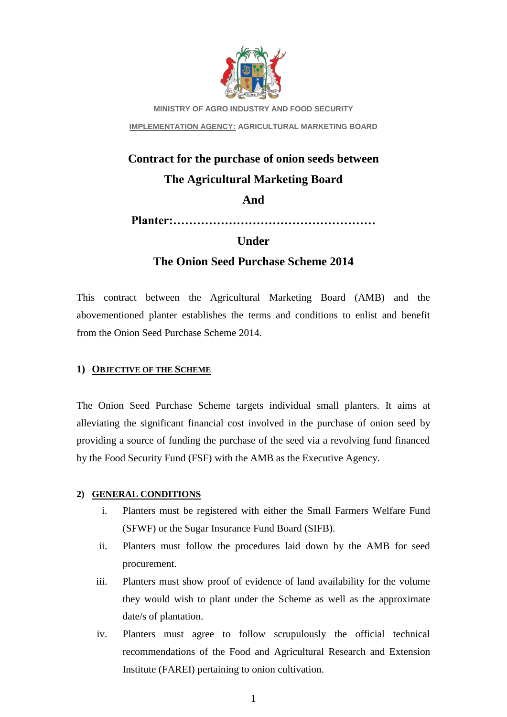

**MINISTRY OF AGRO INDUSTRY AND FOOD SECURITY IMPLEMENTATION AGENCY: AGRICULTURAL MARKETING BOARD**

# **Contract for the purchase of onion seeds between The Agricultural Marketing Board**

**And**

**Planter:……………………………………………**

# **Under**

# **The Onion Seed Purchase Scheme 2014**

This contract between the Agricultural Marketing Board (AMB) and the abovementioned planter establishes the terms and conditions to enlist and benefit from the Onion Seed Purchase Scheme 2014.

# **1) OBJECTIVE OF THE SCHEME**

The Onion Seed Purchase Scheme targets individual small planters. It aims at alleviating the significant financial cost involved in the purchase of onion seed by providing a source of funding the purchase of the seed via a revolving fund financed by the Food Security Fund (FSF) with the AMB as the Executive Agency.

# **2) GENERAL CONDITIONS**

- i. Planters must be registered with either the Small Farmers Welfare Fund (SFWF) or the Sugar Insurance Fund Board (SIFB).
- ii. Planters must follow the procedures laid down by the AMB for seed procurement.
- iii. Planters must show proof of evidence of land availability for the volume they would wish to plant under the Scheme as well as the approximate date/s of plantation.
- iv. Planters must agree to follow scrupulously the official technical recommendations of the Food and Agricultural Research and Extension Institute (FAREI) pertaining to onion cultivation.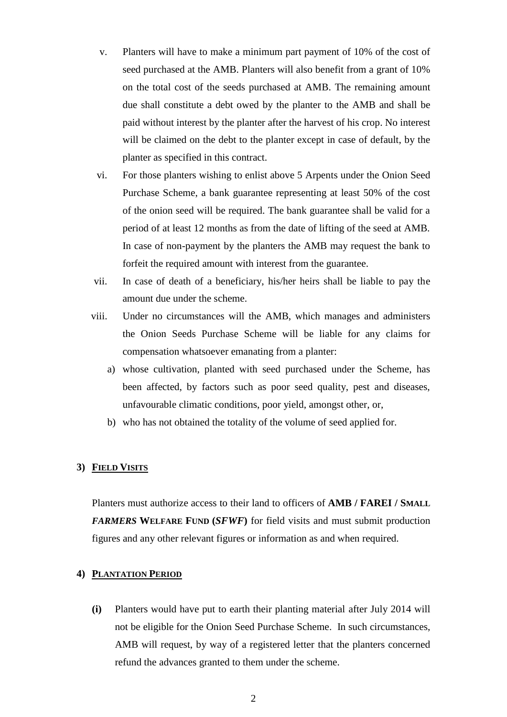- v. Planters will have to make a minimum part payment of 10% of the cost of seed purchased at the AMB. Planters will also benefit from a grant of 10% on the total cost of the seeds purchased at AMB. The remaining amount due shall constitute a debt owed by the planter to the AMB and shall be paid without interest by the planter after the harvest of his crop. No interest will be claimed on the debt to the planter except in case of default, by the planter as specified in this contract.
- vi. For those planters wishing to enlist above 5 Arpents under the Onion Seed Purchase Scheme, a bank guarantee representing at least 50% of the cost of the onion seed will be required. The bank guarantee shall be valid for a period of at least 12 months as from the date of lifting of the seed at AMB. In case of non-payment by the planters the AMB may request the bank to forfeit the required amount with interest from the guarantee.
- vii. In case of death of a beneficiary, his/her heirs shall be liable to pay the amount due under the scheme.
- viii. Under no circumstances will the AMB, which manages and administers the Onion Seeds Purchase Scheme will be liable for any claims for compensation whatsoever emanating from a planter:
	- a) whose cultivation, planted with seed purchased under the Scheme, has been affected, by factors such as poor seed quality, pest and diseases, unfavourable climatic conditions, poor yield, amongst other, or,
	- b) who has not obtained the totality of the volume of seed applied for.

#### **3) FIELD VISITS**

Planters must authorize access to their land to officers of **AMB / FAREI / SMALL**  *FARMERS* **WELFARE FUND (***SFWF***)** for field visits and must submit production figures and any other relevant figures or information as and when required.

## **4) PLANTATION PERIOD**

**(i)** Planters would have put to earth their planting material after July 2014 will not be eligible for the Onion Seed Purchase Scheme. In such circumstances, AMB will request, by way of a registered letter that the planters concerned refund the advances granted to them under the scheme.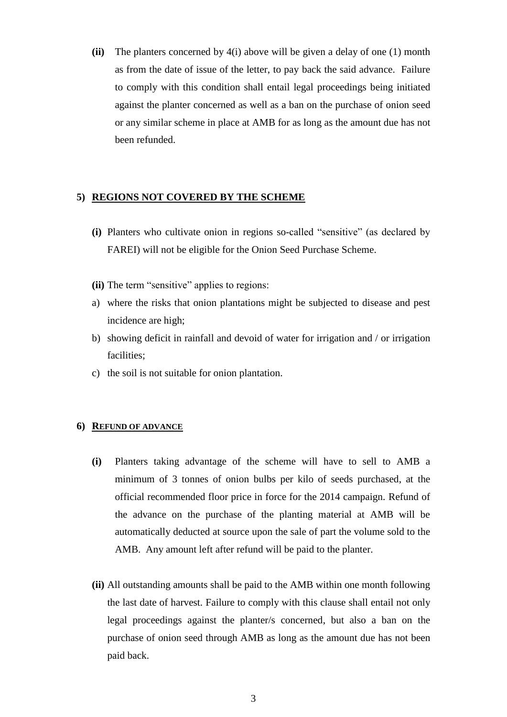**(ii)** The planters concerned by 4(i) above will be given a delay of one (1) month as from the date of issue of the letter, to pay back the said advance. Failure to comply with this condition shall entail legal proceedings being initiated against the planter concerned as well as a ban on the purchase of onion seed or any similar scheme in place at AMB for as long as the amount due has not been refunded.

## **5) REGIONS NOT COVERED BY THE SCHEME**

- **(i)** Planters who cultivate onion in regions so-called "sensitive" (as declared by FAREI) will not be eligible for the Onion Seed Purchase Scheme.
- **(ii)** The term "sensitive" applies to regions:
- a) where the risks that onion plantations might be subjected to disease and pest incidence are high;
- b) showing deficit in rainfall and devoid of water for irrigation and / or irrigation facilities;
- c) the soil is not suitable for onion plantation.

#### **6) REFUND OF ADVANCE**

- **(i)** Planters taking advantage of the scheme will have to sell to AMB a minimum of 3 tonnes of onion bulbs per kilo of seeds purchased, at the official recommended floor price in force for the 2014 campaign. Refund of the advance on the purchase of the planting material at AMB will be automatically deducted at source upon the sale of part the volume sold to the AMB. Any amount left after refund will be paid to the planter.
- **(ii)** All outstanding amounts shall be paid to the AMB within one month following the last date of harvest. Failure to comply with this clause shall entail not only legal proceedings against the planter/s concerned, but also a ban on the purchase of onion seed through AMB as long as the amount due has not been paid back.